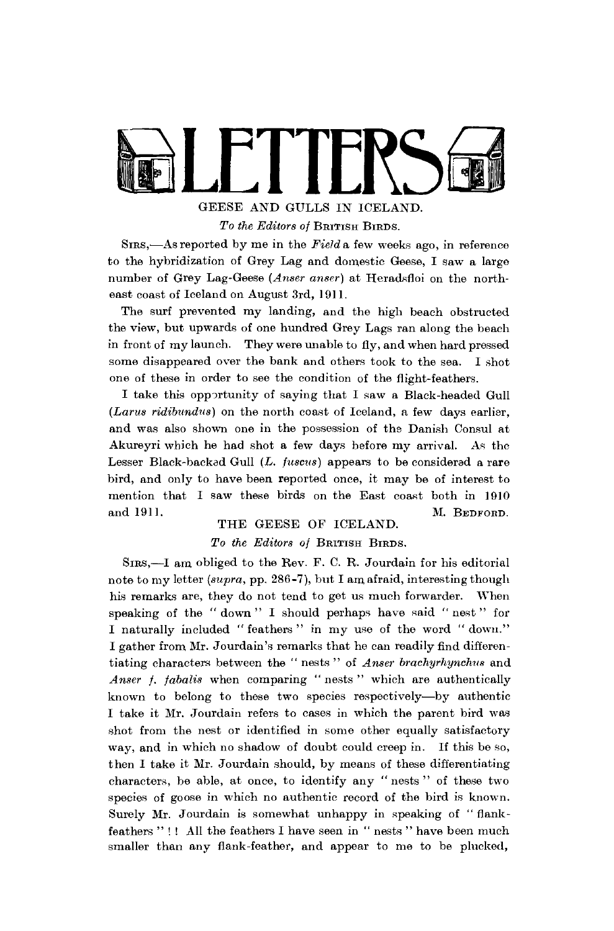

GEESE AND GULLS IN ICELAND. *To the Editors of* BRITISH BIRDS.

SIRS,—As reported by me in the *Field* a few weeks ago, in reference to the hybridization of Grey Lag and domestic Geese, I saw a large number of Grey Lag-Geese *(Anser anser)* at Heradsfloi on the northeast coast of Iceland on August 3rd, 1911.

The surf prevented my landing, and the high beach obstructed the view, but upwards of one hundred Grey Lags ran along the beach in front of my launch. They were unable to fly, and when hard pressed some disappeared over the bank and others took to the sea. I shot one of these in order to see the condition of the flight-feathers.

I take this opportunity of saying that I saw a Black-headed Gull *(Larus ridibundus)* on the north coast of Iceland, a few days earlier, and was also shown one in the possession of the Danish Consul at Akureyri which he had shot a few days before my arrival. As the Lesser Black-backed Gull (L. fuscus) appears to be considered a rare bird, and only to have been reported once, it may be of interest to mention that I saw these birds on the East coast both in  $1910$ and 1911. M. BEDFORD.

#### THE GEESE OF ICELAND.

#### *To the Editors of* BRITISH BIRDS.

SIRS,—I am obliged to the Rev. F. C. R. Jourdain for his editorial note to my letter *(supra,* pp. 286-7), but I am afraid, interesting though his remarks are, they do not tend to get us much forwarder. When speaking of the "down" I should perhaps have said "nest" for I naturally included " feathers " in my use of the word " down." I gather from Mr. Jourdain's remarks that he can readily find differentiating characters between the " nests " of *Anser brachyrhynchus* and *Anser f. fabalis* when comparing " nests " which are authentically known to belong to these two species respectively—by authentic I take it Mr. Jourdain refers to cases in which the parent bird was shot from the nest or identified in some other equally satisfactory way, and in which no shadow of doubt could creep in. If this be so, then I take it Mr. Jourdain should, by means of these differentiating characters, be able, at once, to identify any "nests " of these two species of goose in which no authentic record of the bird is known. Surely Mr. Jourdain is somewhat unhappy in speaking of " flankfeathers "!! All the feathers I have seen in " nests " have been much smaller than any flank-feather, and appear to me to be plucked,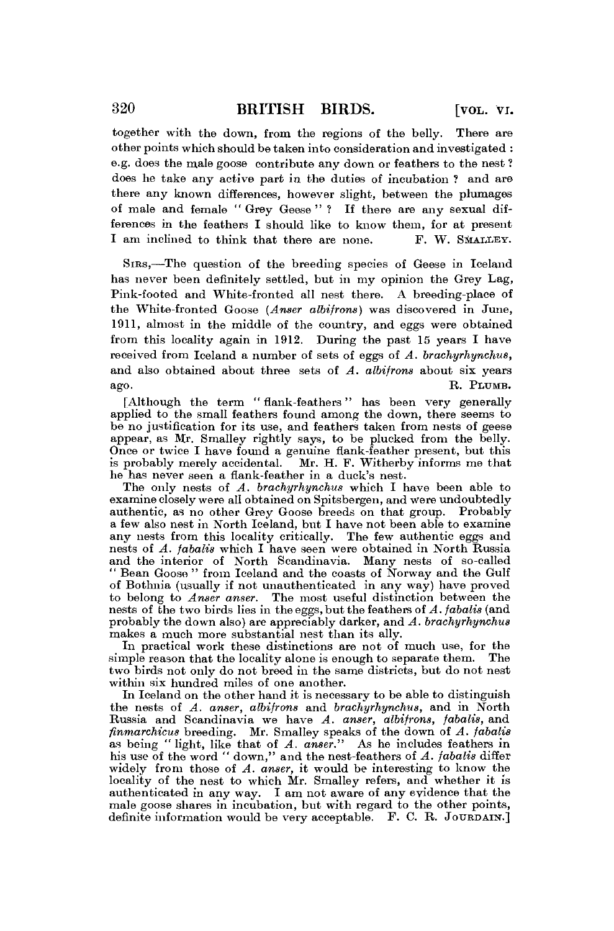together with the down, from the regions of the belly. There are other points which should be taken into consideration and investigated : e.g. does the male goose contribute any down or feathers to the nest ? does he take any active part in the duties of incubation ? and are there any known differences, however slight, between the plumages of male and female "Grey Geese"? If there are any sexual differences in the feathers I should like to know them, for at present I am inclined to think that there are none. F. W. SMALLEY.

SIRS,—The question of the breeding species of Geese in Iceland has never been definitely settled, but in my opinion the Grey Lag, Pink-footed and White-fronted all nest there. A breeding-place of the White-fronted Goose *(Anser albifrons)* was discovered in June, 1911, almost in the middle of the country, and eggs were obtained from this locality again in 1912. During the past 15 years I have received from Iceland a number of sets of eggs of *A. brachyrhynchus,*  and also obtained about three sets of *A. albifrons* about six years ago. R. PLUMB.

[Although the term " flank-feathers" has been very generally applied to the small feathers found among the down, there seems to be no justification for its use, and feathers taken from nests of geese appear, as Mr. Smalley rightly says, to be plucked from the belly. Once or twice I have found a genuine flank-feather present, but this is probably merely accidental. Mr. H. F. Witherby informs me that he has never seen a flank-feather in a duck's nest.

The only nests of *A. brachyrhynchus* which I have been able to examine closely were all obtained on Spitsbergen, and were undoubtedly authentic, as no other Grey Goose breeds on that group. Probably a few also nest in North Iceland, but I have not been able to examine any nests from this locality critically. The few authentic eggs and nests of *A. fabalis* which I have seen were obtained in North Russia and the interior of North Scandinavia. Many nests of so-called " Bean Goose " from Iceland and the coasts of Norway and the Gulf of Bothnia (usually if not unauthenticated in any way) have proved to belong to *Anser anser.* The most useful distinction between the nests of the two birds lies in the eggs, but the feathers of *A. fabalis* (and probably the down also) are appreciably darker, and *A. brachyrhynchus*  makes a much more substantial nest than its ally.

In practical work these distinctions are not of much use, for the simple reason that the locality alone is enough to separate them. The two birds not only do not breed in the same districts, but do not nest within six hundred miles of one another.

In Iceland on the other hand it is necessary to be able to distinguish the nests of *A. anser, albifrons* and *brachyrhynchus,* and in North Russia and Scandinavia we have *A. anser, albifrons, fabalis,* and *finmarchicus* breeding. Mr. Smalley speaks of the down of *A. fabalis*  as being "light, like that of A. anser." As he includes feathers in his use of the word " down," and the nest-feathers of *A. fabalis* differ widely from those of *A. anser,* it would be interesting to know the locality of the nest to which Mr. Smalley refers, and whether it is authenticated in any way. I am not aware of any evidence that the male goose shares in incubation, but with regard to the other points, definite information would be very acceptable. F. C. R. JOURDAIN.]